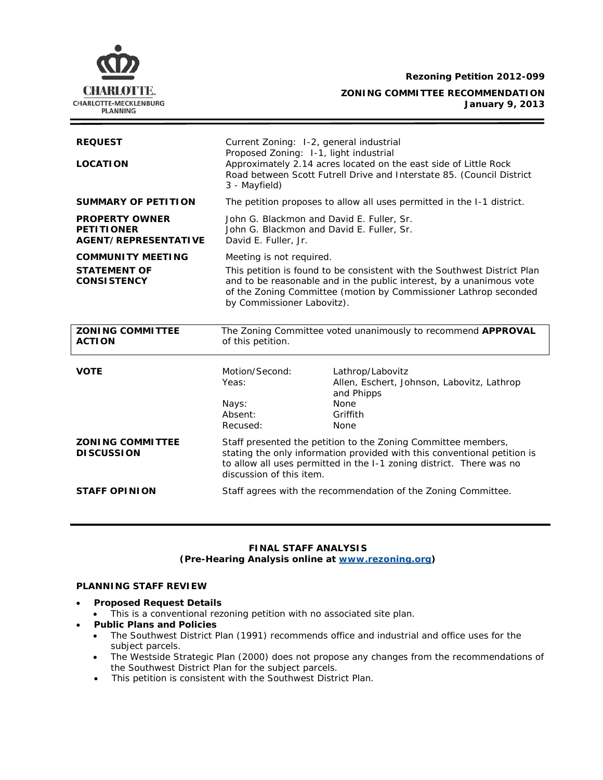**Rezoning Petition 2012-099**



| <b>REQUEST</b><br><b>LOCATION</b><br><b>SUMMARY OF PETITION</b>           | Current Zoning: 1-2, general industrial<br>Proposed Zoning: 1-1, light industrial<br>Approximately 2.14 acres located on the east side of Little Rock<br>Road between Scott Futrell Drive and Interstate 85. (Council District<br>3 - Mayfield)<br>The petition proposes to allow all uses permitted in the 1-1 district. |                                                                                                                                                                                                                   |
|---------------------------------------------------------------------------|---------------------------------------------------------------------------------------------------------------------------------------------------------------------------------------------------------------------------------------------------------------------------------------------------------------------------|-------------------------------------------------------------------------------------------------------------------------------------------------------------------------------------------------------------------|
| <b>PROPERTY OWNER</b><br><b>PETITIONER</b><br><b>AGENT/REPRESENTATIVE</b> | John G. Blackmon and David E. Fuller, Sr.<br>John G. Blackmon and David E. Fuller, Sr.<br>David E. Fuller, Jr.                                                                                                                                                                                                            |                                                                                                                                                                                                                   |
| <b>COMMUNITY MEETING</b><br><b>STATEMENT OF</b><br><b>CONSISTENCY</b>     | Meeting is not required.<br>This petition is found to be consistent with the Southwest District Plan<br>and to be reasonable and in the public interest, by a unanimous vote<br>of the Zoning Committee (motion by Commissioner Lathrop seconded<br>by Commissioner Labovitz).                                            |                                                                                                                                                                                                                   |
| <b>ZONING COMMITTEE</b><br><b>ACTION</b>                                  | The Zoning Committee voted unanimously to recommend APPROVAL<br>of this petition.                                                                                                                                                                                                                                         |                                                                                                                                                                                                                   |
|                                                                           |                                                                                                                                                                                                                                                                                                                           |                                                                                                                                                                                                                   |
| <b>VOTE</b>                                                               | Motion/Second:<br>Yeas:<br>Nays:<br>Absent:<br>Recused:                                                                                                                                                                                                                                                                   | Lathrop/Labovitz<br>Allen, Eschert, Johnson, Labovitz, Lathrop<br>and Phipps<br>None<br>Griffith<br>None                                                                                                          |
| <b>ZONING COMMITTEE</b><br><b>DISCUSSION</b>                              | discussion of this item.                                                                                                                                                                                                                                                                                                  | Staff presented the petition to the Zoning Committee members,<br>stating the only information provided with this conventional petition is<br>to allow all uses permitted in the I-1 zoning district. There was no |

### **FINAL STAFF ANALYSIS (Pre-Hearing Analysis online at [www.rezoning.org\)](http://www.rezoning.org/)**

# **PLANNING STAFF REVIEW**

- **Proposed Request Details**
	- This is a conventional rezoning petition with no associated site plan.
- **Public Plans and Policies**
	- The *Southwest District Plan* (1991) recommends office and industrial and office uses for the subject parcels.
	- The *Westside Strategic Plan* (2000) does not propose any changes from the recommendations of the *Southwest District Plan* for the subject parcels.
	- This petition is consistent with the *Southwest District Plan*.